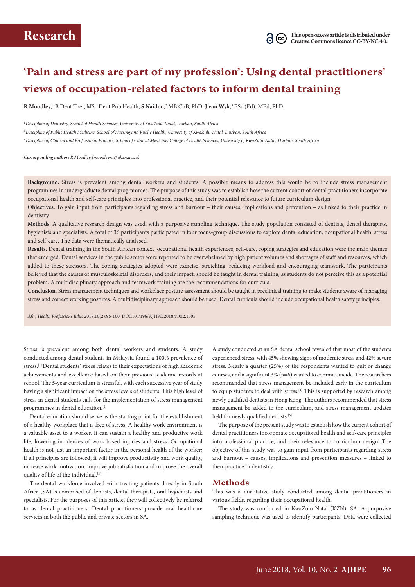# **'Pain and stress are part of my profession': Using dental practitioners' views of occupation-related factors to inform dental training**

**R Moodley**, 1 B Dent Ther, MSc Dent Pub Health; **S Naidoo**, 2 MB ChB, PhD; **J van Wyk**, 3 BSc (Ed), MEd, PhD

<sup>1</sup>*Discipline of Dentistry, School of Health Sciences, University of KwaZulu-Natal, Durban, South Africa*

<sup>2</sup>*Discipline of Public Health Medicine, School of Nursing and Public Health, University of KwaZulu-Natal, Durban, South Africa*

<sup>3</sup>*Discipline of Clinical and Professional Practice, School of Clinical Medicine, College of Health Sciences, University of KwaZulu-Natal, Durban, South Africa*

*Corresponding author: R Moodley (moodleyra@ukzn.ac.za)*

**Background.** Stress is prevalent among dental workers and students. A possible means to address this would be to include stress management programmes in undergraduate dental programmes. The purpose of this study was to establish how the current cohort of dental practitioners incorporate occupational health and self-care principles into professional practice, and their potential relevance to future curriculum design.

**Objectives.** To gain input from participants regarding stress and burnout – their causes, implications and prevention – as linked to their practice in dentistry.

**Methods.** A qualitative research design was used, with a purposive sampling technique. The study population consisted of dentists, dental therapists, hygienists and specialists. A total of 36 participants participated in four focus-group discussions to explore dental education, occupational health, stress and self-care. The data were thematically analysed.

**Results.** Dental training in the South African context, occupational health experiences, self-care, coping strategies and education were the main themes that emerged. Dental services in the public sector were reported to be overwhelmed by high patient volumes and shortages of staff and resources, which added to these stressors. The coping strategies adopted were exercise, stretching, reducing workload and encouraging teamwork. The participants believed that the causes of musculoskeletal disorders, and their impact, should be taught in dental training, as students do not perceive this as a potential problem. A multidisciplinary approach and teamwork training are the recommendations for curricula.

**Conclusion.** Stress management techniques and workplace posture assessment should be taught in preclinical training to make students aware of managing stress and correct working postures. A multidisciplinary approach should be used. Dental curricula should include occupational health safety principles.

*Afr J Health Professions Educ* 2018;10(2):96-100. DOI:10.7196/AJHPE.2018.v10i2.1005

Stress is prevalent among both dental workers and students. A study conducted among dental students in Malaysia found a 100% prevalence of stress.[1] Dental students' stress relates to their expectations of high academic achievements and excellence based on their previous academic records at school. The 5-year curriculum is stressful, with each successive year of study having a significant impact on the stress levels of students. This high level of stress in dental students calls for the implementation of stress management programmes in dental education.<sup>[2]</sup>

Dental education should serve as the starting point for the establishment of a healthy workplace that is free of stress. A healthy work environment is a valuable asset to a worker. It can sustain a healthy and productive work life, lowering incidences of work-based injuries and stress. Occupational health is not just an important factor in the personal health of the worker; if all principles are followed, it will improve productivity and work quality, increase work motivation, improve job satisfaction and improve the overall quality of life of the individual.<sup>[3]</sup>

The dental workforce involved with treating patients directly in South Africa (SA) is comprised of dentists, dental therapists, oral hygienists and specialists. For the purposes of this article, they will collectively be referred to as dental practitioners. Dental practitioners provide oral healthcare services in both the public and private sectors in SA.

A study conducted at an SA dental school revealed that most of the students experienced stress, with 45% showing signs of moderate stress and 42% severe stress. Nearly a quarter (25%) of the respondents wanted to quit or change courses, and a significant 3% (*n*=6) wanted to commit suicide. The researchers recommended that stress management be included early in the curriculum to equip students to deal with stress. $[4]$  This is supported by research among newly qualified dentists in Hong Kong. The authors recommended that stress management be added to the curriculum, and stress management updates held for newly qualified dentists.<sup>[5]</sup>

The purpose of the present study wasto establish how the current cohort of dental practitioners incorporate occupational health and self-care principles into professional practice, and their relevance to curriculum design. The objective of this study was to gain input from participants regarding stress and burnout – causes, implications and prevention measures – linked to their practice in dentistry.

#### **Methods**

This was a qualitative study conducted among dental practitioners in various fields, regarding their occupational health.

The study was conducted in KwaZulu-Natal (KZN), SA. A purposive sampling technique was used to identify participants. Data were collected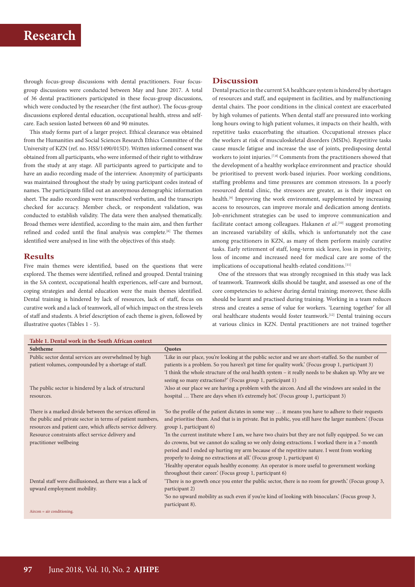### **Research**

through focus-group discussions with dental practitioners. Four focusgroup discussions were conducted between May and June 2017. A total of 36 dental practitioners participated in these focus-group discussions, which were conducted by the researcher (the first author). The focus-group discussions explored dental education, occupational health, stress and selfcare. Each session lasted between 60 and 90 minutes.

This study forms part of a larger project. Ethical clearance was obtained from the Humanities and Social Sciences Research Ethics Committee of the University of KZN (ref. no. HSS/1490/015D). Written informed consent was obtained from all participants, who were informed of their right to withdraw from the study at any stage. All participants agreed to participate and to have an audio recording made of the interview. Anonymity of participants was maintained throughout the study by using participant codes instead of names. The participants filled out an anonymous demographic information sheet. The audio recordings were transcribed verbatim, and the transcripts checked for accuracy. Member check, or respondent validation, was conducted to establish validity. The data were then analysed thematically. Broad themes were identified, according to the main aim, and then further refined and coded until the final analysis was complete.<sup>[6]</sup> The themes identified were analysed in line with the objectives of this study.

### **Results**

Five main themes were identified, based on the questions that were explored. The themes were identified, refined and grouped. Dental training in the SA context, occupational health experiences, self-care and burnout, coping strategies and dental education were the main themes identified. Dental training is hindered by lack of resources, lack of staff, focus on curative work and a lack of teamwork, all of which impact on the stress levels of staff and students. A brief description of each theme is given, followed by illustrative quotes (Tables 1 - 5).

### **Discussion**

Dental practice in the current SA healthcare system is hindered by shortages of resources and staff, and equipment in facilities, and by malfunctioning dental chairs. The poor conditions in the clinical context are exacerbated by high volumes of patients. When dental staff are pressured into working long hours owing to high patient volumes, it impacts on their health, with repetitive tasks exacerbating the situation. Occupational stresses place the workers at risk of musculoskeletal disorders (MSDs). Repetitive tasks cause muscle fatigue and increase the use of joints, predisposing dental workers to joint injuries.<sup>[7,8]</sup> Comments from the practitioners showed that the development of a healthy workplace environment and practice should be prioritised to prevent work-based injuries. Poor working conditions, staffing problems and time pressures are common stressors. In a poorly resourced dental clinic, the stressors are greater, as is their impact on health.<sup>[9]</sup> Improving the work environment, supplemented by increasing access to resources, can improve morale and dedication among dentists. Job-enrichment strategies can be used to improve communication and facilitate contact among colleagues. Hakanen *et al*. [10] suggest promoting an increased variability of skills, which is unfortunately not the case among practitioners in KZN, as many of them perform mainly curative tasks. Early retirement of staff, long-term sick leave, loss in productivity, loss of income and increased need for medical care are some of the implications of occupational health-related conditions.<sup>[11]</sup>

One of the stressors that was strongly recognised in this study was lack of teamwork. Teamwork skills should be taught, and assessed as one of the core competencies to achieve during dental training; moreover, these skills should be learnt and practised during training. Working in a team reduces stress and creates a sense of value for workers. 'Learning together' for all oral healthcare students would foster teamwork.[12] Dental training occurs at various clinics in KZN. Dental practitioners are not trained together

| Table 1. Dental work in the South African context                                                                                                                                                                                                                   |                                                                                                                                                                                                                                                                                                                                                                                                                                                                                                                                                                                                                                                                                                                         |  |
|---------------------------------------------------------------------------------------------------------------------------------------------------------------------------------------------------------------------------------------------------------------------|-------------------------------------------------------------------------------------------------------------------------------------------------------------------------------------------------------------------------------------------------------------------------------------------------------------------------------------------------------------------------------------------------------------------------------------------------------------------------------------------------------------------------------------------------------------------------------------------------------------------------------------------------------------------------------------------------------------------------|--|
| Subtheme                                                                                                                                                                                                                                                            | Quotes                                                                                                                                                                                                                                                                                                                                                                                                                                                                                                                                                                                                                                                                                                                  |  |
| Public sector dental services are overwhelmed by high<br>patient volumes, compounded by a shortage of staff.                                                                                                                                                        | 'Like in our place, you're looking at the public sector and we are short-staffed. So the number of<br>patients is a problem. So you haven't got time for quality work' (Focus group 1, participant 3)<br>I think the whole structure of the oral health system – it really needs to be shaken up. Why are we<br>seeing so many extractions?' (Focus group 1, participant 1)                                                                                                                                                                                                                                                                                                                                             |  |
| The public sector is hindered by a lack of structural<br>resources.                                                                                                                                                                                                 | 'Also at our place we are having a problem with the aircon. And all the windows are sealed in the<br>hospital  There are days when it's extremely hot' (Focus group 1, participant 3)                                                                                                                                                                                                                                                                                                                                                                                                                                                                                                                                   |  |
| There is a marked divide between the services offered in<br>the public and private sector in terms of patient numbers,<br>resources and patient care, which affects service delivery.<br>Resource constraints affect service delivery and<br>practitioner wellbeing | 'So the profile of the patient dictates in some way  it means you have to adhere to their requests<br>and prioritise them. And that is in private. But in public, you still have the larger numbers.' (Focus<br>group 1, participant 6)<br>'In the current institute where I am, we have two chairs but they are not fully equipped. So we can<br>do crowns, but we cannot do scaling so we only doing extractions. I worked there in a 7-month<br>period and I ended up hurting my arm because of the repetitive nature. I went from working<br>properly to doing no extractions at all.' (Focus group 1, participant 4)<br>'Healthy operator equals healthy economy. An operator is more useful to government working |  |
| Dental staff were disillusioned, as there was a lack of<br>upward employment mobility.<br>$Aircon = air$ conditioning.                                                                                                                                              | throughout their career.' (Focus group 1, participant 6)<br>There is no growth once you enter the public sector, there is no room for growth.' (Focus group 3,<br>participant 2)<br>'So no upward mobility as such even if you're kind of looking with binoculars.' (Focus group 3,<br>participant 8).                                                                                                                                                                                                                                                                                                                                                                                                                  |  |
|                                                                                                                                                                                                                                                                     |                                                                                                                                                                                                                                                                                                                                                                                                                                                                                                                                                                                                                                                                                                                         |  |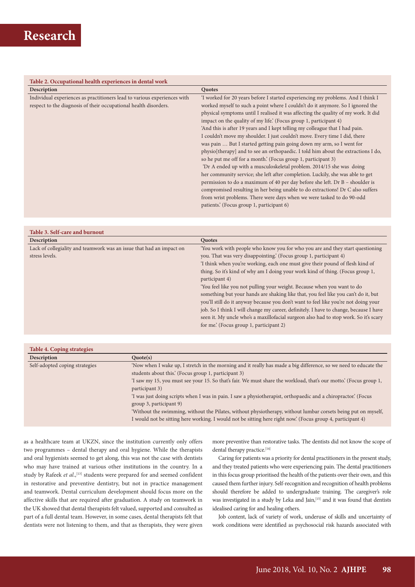#### **Table 2. Occupational health experiences in dental work**

| Description                                                              | Quotes                                                                             |
|--------------------------------------------------------------------------|------------------------------------------------------------------------------------|
| Individual experiences as practitioners lead to various experiences with | 'I worked for 20 years before I started experiencing my problems. And I think I    |
| respect to the diagnosis of their occupational health disorders.         | worked myself to such a point where I couldn't do it anymore. So I ignored the     |
|                                                                          | physical symptoms until I realised it was affecting the quality of my work. It did |
|                                                                          | impact on the quality of my life.' (Focus group 1, participant 4)                  |
|                                                                          | 'And this is after 19 years and I kept telling my colleague that I had pain.       |
|                                                                          | I couldn't move my shoulder. I just couldn't move. Every time I did, there         |
|                                                                          | was pain  But I started getting pain going down my arm, so I went for              |
|                                                                          | physio[therapy] and to see an orthopaedic. I told him about the extractions I do,  |
|                                                                          | so he put me off for a month.' (Focus group 1, participant 3)                      |
|                                                                          | 'Dr A ended up with a musculoskeletal problem. 2014/15 she was doing               |
|                                                                          | her community service; she left after completion. Luckily, she was able to get     |
|                                                                          | permission to do a maximum of 40 per day before she left. Dr B - shoulder is       |
|                                                                          | compromised resulting in her being unable to do extractions! Dr C also suffers     |
|                                                                          | from wrist problems. There were days when we were tasked to do 90-odd              |
|                                                                          | patients.' (Focus group 1, participant 6)                                          |
|                                                                          |                                                                                    |

| Table 3. Self-care and burnout                                       |                                                                                       |
|----------------------------------------------------------------------|---------------------------------------------------------------------------------------|
| Description                                                          | Quotes                                                                                |
| Lack of collegiality and teamwork was an issue that had an impact on | You work with people who know you for who you are and they start questioning          |
| stress levels.                                                       | you. That was very disappointing.' (Focus group 1, participant 4)                     |
|                                                                      | 'I think when you're working, each one must give their pound of flesh kind of         |
|                                                                      | thing. So it's kind of why am I doing your work kind of thing. (Focus group 1,        |
|                                                                      | participant 4)                                                                        |
|                                                                      | 'You feel like you not pulling your weight. Because when you want to do               |
|                                                                      | something but your hands are shaking like that, you feel like you can't do it, but    |
|                                                                      | you'll still do it anyway because you don't want to feel like you're not doing your   |
|                                                                      | job. So I think I will change my career, definitely. I have to change, because I have |
|                                                                      | seen it. My uncle who's a maxillofacial surgeon also had to stop work. So it's scary  |
|                                                                      | for me.' (Focus group 1, participant 2)                                               |

| <b>Table 4. Coping strategies</b> |                                                                                                                    |
|-----------------------------------|--------------------------------------------------------------------------------------------------------------------|
| Description                       | Quote(s)                                                                                                           |
| Self-adopted coping strategies    | Now when I wake up, I stretch in the morning and it really has made a big difference, so we need to educate the    |
|                                   | students about this.' (Focus group 1, participant 3)                                                               |
|                                   | 'I saw my 15, you must see your 15. So that's fair. We must share the workload, that's our motto.' (Focus group 1, |
|                                   | participant 3)                                                                                                     |
|                                   | 'I was just doing scripts when I was in pain. I saw a physiotherapist, orthopaedic and a chiropractor.' (Focus     |
|                                   | group 3, participant 9)                                                                                            |
|                                   | Without the swimming, without the Pilates, without physiotherapy, without lumbar corsets being put on myself,      |
|                                   | I would not be sitting here working. I would not be sitting here right now.' (Focus group 4, participant 4)        |

as a healthcare team at UKZN, since the institution currently only offers two programmes – dental therapy and oral hygiene. While the therapists and oral hygienists seemed to get along, this was not the case with dentists who may have trained at various other institutions in the country. In a study by Rafeek et al.,<sup>[13]</sup> students were prepared for and seemed confident in restorative and preventive dentistry, but not in practice management and teamwork. Dental curriculum development should focus more on the affective skills that are required after graduation. A study on teamwork in the UK showed that dental therapists felt valued, supported and consulted as part of a full dental team. However, in some cases, dental therapists felt that dentists were not listening to them, and that as therapists, they were given more preventive than restorative tasks. The dentists did not know the scope of dental therapy practice.<sup>[14]</sup>

Caring for patients was a priority for dental practitioners in the present study, and they treated patients who were experiencing pain. The dental practitioners in this focus group prioritised the health of the patients over their own, and this caused them further injury. Self-recognition and recognition of health problems should therefore be added to undergraduate training. The caregiver's role was investigated in a study by Leka and Jain,<sup>[15]</sup> and it was found that dentists idealised caring for and healing others.

Job content, lack of variety of work, underuse of skills and uncertainty of work conditions were identified as psychosocial risk hazards associated with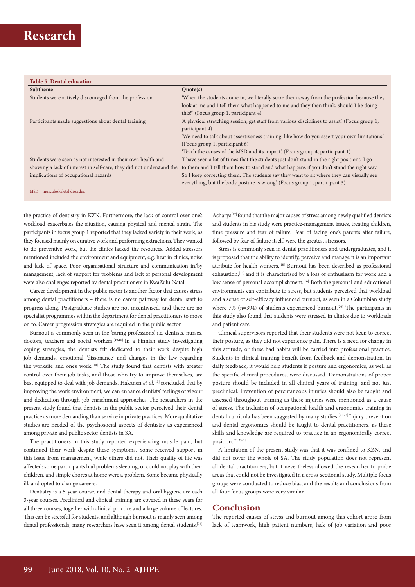### **Table 5. Dental education**

| Subtheme                                                             | Quote(s)                                                                                       |
|----------------------------------------------------------------------|------------------------------------------------------------------------------------------------|
| Students were actively discouraged from the profession               | 'When the students come in, we literally scare them away from the profession because they      |
|                                                                      | look at me and I tell them what happened to me and they then think, should I be doing          |
|                                                                      | this?' (Focus group 1, participant 4)                                                          |
| Participants made suggestions about dental training                  | 'A physical stretching session, get staff from various disciplines to assist.' (Focus group 1, |
|                                                                      | participant 4)                                                                                 |
|                                                                      | 'We need to talk about assertiveness training, like how do you assert your own limitations.'   |
|                                                                      | (Focus group 1, participant 6)                                                                 |
|                                                                      | Teach the causes of the MSD and its impact. (Focus group 4, participant 1)                     |
| Students were seen as not interested in their own health and         | If have seen a lot of times that the students just don't stand in the right positions. I go    |
| showing a lack of interest in self-care; they did not understand the | to them and I tell them how to stand and what happens if you don't stand the right way.        |
| implications of occupational hazards                                 | So I keep correcting them. The students say they want to sit where they can visually see       |
|                                                                      | everything, but the body posture is wrong.' (Focus group 1, participant 3)                     |
| $MSD$ = musculoskeletal disorder.                                    |                                                                                                |
|                                                                      |                                                                                                |

the practice of dentistry in KZN. Furthermore, the lack of control over one's workload exacerbates the situation, causing physical and mental strain. The participants in focus group 1 reported that they lacked variety in their work, as they focused mainly on curative work and performing extractions. They wanted to do preventive work, but the clinics lacked the resources. Added stressors mentioned included the environment and equipment, e.g. heat in clinics, noise and lack of space. Poor organisational structure and communication in/by management, lack of support for problems and lack of personal development were also challenges reported by dental practitioners in KwaZulu-Natal.

Career development in the public sector is another factor that causes stress among dental practitioners – there is no career pathway for dental staff to progress along. Postgraduate studies are not incentivised, and there are no specialist programmes within the department for dental practitioners to move on to. Career progression strategies are required in the public sector.

Burnout is commonly seen in the 'caring professions', i.e. dentists, nurses, doctors, teachers and social workers.<sup>[10,15]</sup> In a Finnish study investigating coping strategies, the dentists felt dedicated to their work despite high job demands, emotional 'dissonance' and changes in the law regarding the worksite and one's work.<sup>[10]</sup> The study found that dentists with greater control over their job tasks, and those who try to improve themselves, are best equipped to deal with job demands. Hakanen *et al*. [10] concluded that by improving the work environment, we can enhance dentists' feelings of vigour and dedication through job enrichment approaches. The researchers in the present study found that dentists in the public sector perceived their dental practice as more demanding than service in private practices. More qualitative studies are needed of the psychosocial aspects of dentistry as experienced among private and public sector dentists in SA.

The practitioners in this study reported experiencing muscle pain, but continued their work despite these symptoms. Some received support in this issue from management, while others did not. Their quality of life was affected: some participants had problems sleeping, or could not play with their children, and simple chores at home were a problem. Some became physically ill, and opted to change careers.

Dentistry is a 5-year course, and dental therapy and oral hygiene are each 3-year courses. Preclinical and clinical training are covered in these years for all three courses, together with clinical practice and a large volume of lectures. This can be stressful for students, and although burnout is mainly seen among dental professionals, many researchers have seen it among dental students.<sup>[16]</sup> Acharya<sup>[17]</sup> found that the major causes of stress among newly qualified dentists and students in his study were practice-management issues, treating children, time pressure and fear of failure. Fear of facing one's parents after failure, followed by fear of failure itself, were the greatest stressors.

Stress is commonly seen in dental practitioners and undergraduates, and it is proposed that the ability to identify, perceive and manage it is an important attribute for health workers.[18] Burnout has been described as professional exhaustion,<sup>[19]</sup> and it is characterised by a loss of enthusiasm for work and a low sense of personal accomplishment.<sup>[16]</sup> Both the personal and educational environments can contribute to stress, but students perceived that workload and a sense of self-efficacy influenced burnout, as seen in a Columbian study where 7%  $(n=394)$  of students experienced burnout.<sup>[20]</sup> The participants in this study also found that students were stressed in clinics due to workloads and patient care.

Clinical supervisors reported that their students were not keen to correct their posture, as they did not experience pain. There is a need for change in this attitude, or these bad habits will be carried into professional practice. Students in clinical training benefit from feedback and demonstration. In daily feedback, it would help students if posture and ergonomics, as well as the specific clinical procedures, were discussed. Demonstrations of proper posture should be included in all clinical years of training, and not just preclinical. Prevention of percutaneous injuries should also be taught and assessed throughout training as these injuries were mentioned as a cause of stress. The inclusion of occupational health and ergonomics training in dental curricula has been suggested by many studies.[21,22] Injury prevention and dental ergonomics should be taught to dental practitioners, as these skills and knowledge are required to practice in an ergonomically correct position.[21,23-25]

A limitation of the present study was that it was confined to KZN, and did not cover the whole of SA. The study population does not represent all dental practitioners, but it nevertheless allowed the researcher to probe areas that could not be investigated in a cross-sectional study. Multiple focus groups were conducted to reduce bias, and the results and conclusions from all four focus groups were very similar.

#### **Conclusion**

The reported causes of stress and burnout among this cohort arose from lack of teamwork, high patient numbers, lack of job variation and poor